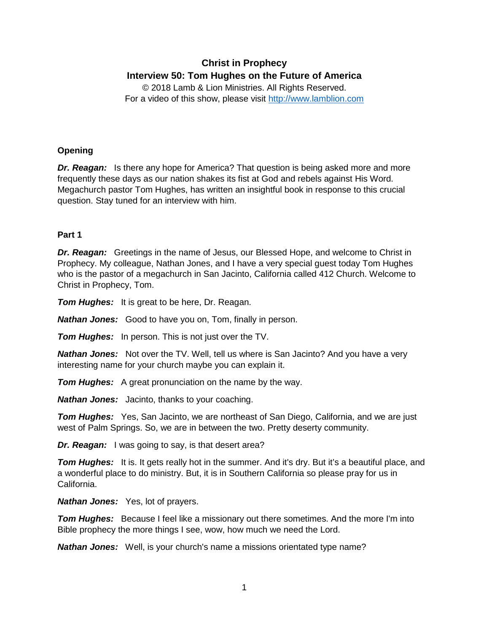# **Christ in Prophecy Interview 50: Tom Hughes on the Future of America**

© 2018 Lamb & Lion Ministries. All Rights Reserved. For a video of this show, please visit [http://www.lamblion.com](http://www.lamblion.com/)

# **Opening**

*Dr. Reagan:* Is there any hope for America? That question is being asked more and more frequently these days as our nation shakes its fist at God and rebels against His Word. Megachurch pastor Tom Hughes, has written an insightful book in response to this crucial question. Stay tuned for an interview with him.

## **Part 1**

*Dr. Reagan:* Greetings in the name of Jesus, our Blessed Hope, and welcome to Christ in Prophecy. My colleague, Nathan Jones, and I have a very special guest today Tom Hughes who is the pastor of a megachurch in San Jacinto, California called 412 Church. Welcome to Christ in Prophecy, Tom.

*Tom Hughes:* It is great to be here, Dr. Reagan.

*Nathan Jones:* Good to have you on, Tom, finally in person.

*Tom Hughes:* In person. This is not just over the TV.

*Nathan Jones:* Not over the TV. Well, tell us where is San Jacinto? And you have a very interesting name for your church maybe you can explain it.

*Tom Hughes:* A great pronunciation on the name by the way.

*Nathan Jones:* Jacinto, thanks to your coaching.

*Tom Hughes:* Yes, San Jacinto, we are northeast of San Diego, California, and we are just west of Palm Springs. So, we are in between the two. Pretty deserty community.

*Dr. Reagan:* I was going to say, is that desert area?

**Tom Hughes:** It is. It gets really hot in the summer. And it's dry. But it's a beautiful place, and a wonderful place to do ministry. But, it is in Southern California so please pray for us in California.

*Nathan Jones:* Yes, lot of prayers.

**Tom Hughes:** Because I feel like a missionary out there sometimes. And the more I'm into Bible prophecy the more things I see, wow, how much we need the Lord.

*Nathan Jones:* Well, is your church's name a missions orientated type name?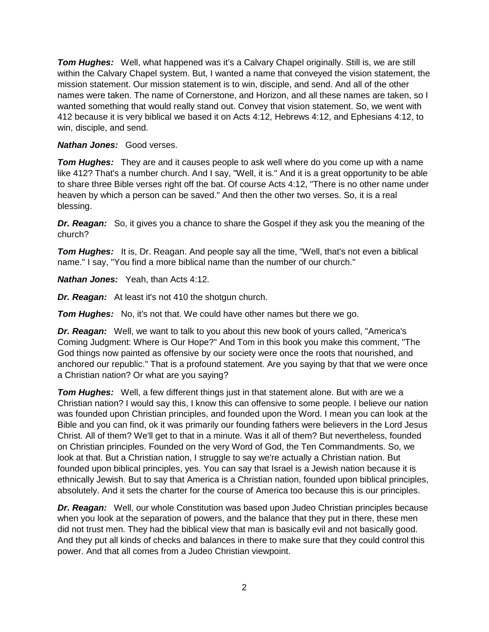*Tom Hughes:* Well, what happened was it's a Calvary Chapel originally. Still is, we are still within the Calvary Chapel system. But, I wanted a name that conveyed the vision statement, the mission statement. Our mission statement is to win, disciple, and send. And all of the other names were taken. The name of Cornerstone, and Horizon, and all these names are taken, so I wanted something that would really stand out. Convey that vision statement. So, we went with 412 because it is very biblical we based it on Acts 4:12, Hebrews 4:12, and Ephesians 4:12, to win, disciple, and send.

*Nathan Jones:* Good verses.

*Tom Hughes:* They are and it causes people to ask well where do you come up with a name like 412? That's a number church. And I say, "Well, it is." And it is a great opportunity to be able to share three Bible verses right off the bat. Of course Acts 4:12, "There is no other name under heaven by which a person can be saved." And then the other two verses. So, it is a real blessing.

*Dr. Reagan:* So, it gives you a chance to share the Gospel if they ask you the meaning of the church?

**Tom Hughes:** It is, Dr. Reagan. And people say all the time, "Well, that's not even a biblical name." I say, "You find a more biblical name than the number of our church."

*Nathan Jones:* Yeah, than Acts 4:12.

*Dr. Reagan:* At least it's not 410 the shotgun church.

*Tom Hughes:* No, it's not that. We could have other names but there we go.

*Dr. Reagan:* Well, we want to talk to you about this new book of yours called, "America's Coming Judgment: Where is Our Hope?" And Tom in this book you make this comment, "The God things now painted as offensive by our society were once the roots that nourished, and anchored our republic." That is a profound statement. Are you saying by that that we were once a Christian nation? Or what are you saying?

*Tom Hughes:* Well, a few different things just in that statement alone. But with are we a Christian nation? I would say this, I know this can offensive to some people. I believe our nation was founded upon Christian principles, and founded upon the Word. I mean you can look at the Bible and you can find, ok it was primarily our founding fathers were believers in the Lord Jesus Christ. All of them? We'll get to that in a minute. Was it all of them? But nevertheless, founded on Christian principles. Founded on the very Word of God, the Ten Commandments. So, we look at that. But a Christian nation, I struggle to say we're actually a Christian nation. But founded upon biblical principles, yes. You can say that Israel is a Jewish nation because it is ethnically Jewish. But to say that America is a Christian nation, founded upon biblical principles, absolutely. And it sets the charter for the course of America too because this is our principles.

*Dr. Reagan:* Well, our whole Constitution was based upon Judeo Christian principles because when you look at the separation of powers, and the balance that they put in there, these men did not trust men. They had the biblical view that man is basically evil and not basically good. And they put all kinds of checks and balances in there to make sure that they could control this power. And that all comes from a Judeo Christian viewpoint.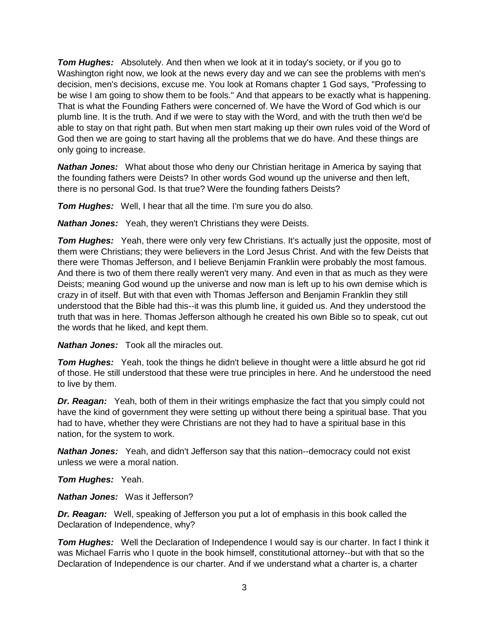*Tom Hughes:* Absolutely. And then when we look at it in today's society, or if you go to Washington right now, we look at the news every day and we can see the problems with men's decision, men's decisions, excuse me. You look at Romans chapter 1 God says, "Professing to be wise I am going to show them to be fools." And that appears to be exactly what is happening. That is what the Founding Fathers were concerned of. We have the Word of God which is our plumb line. It is the truth. And if we were to stay with the Word, and with the truth then we'd be able to stay on that right path. But when men start making up their own rules void of the Word of God then we are going to start having all the problems that we do have. And these things are only going to increase.

*Nathan Jones:* What about those who deny our Christian heritage in America by saying that the founding fathers were Deists? In other words God wound up the universe and then left, there is no personal God. Is that true? Were the founding fathers Deists?

*Tom Hughes:* Well, I hear that all the time. I'm sure you do also.

*Nathan Jones:* Yeah, they weren't Christians they were Deists.

**Tom Hughes:** Yeah, there were only very few Christians. It's actually just the opposite, most of them were Christians; they were believers in the Lord Jesus Christ. And with the few Deists that there were Thomas Jefferson, and I believe Benjamin Franklin were probably the most famous. And there is two of them there really weren't very many. And even in that as much as they were Deists; meaning God wound up the universe and now man is left up to his own demise which is crazy in of itself. But with that even with Thomas Jefferson and Benjamin Franklin they still understood that the Bible had this--it was this plumb line, it guided us. And they understood the truth that was in here. Thomas Jefferson although he created his own Bible so to speak, cut out the words that he liked, and kept them.

*Nathan Jones:* Took all the miracles out.

*Tom Hughes:* Yeah, took the things he didn't believe in thought were a little absurd he got rid of those. He still understood that these were true principles in here. And he understood the need to live by them.

**Dr. Reagan:** Yeah, both of them in their writings emphasize the fact that you simply could not have the kind of government they were setting up without there being a spiritual base. That you had to have, whether they were Christians are not they had to have a spiritual base in this nation, for the system to work.

*Nathan Jones:* Yeah, and didn't Jefferson say that this nation--democracy could not exist unless we were a moral nation.

*Tom Hughes:* Yeah.

*Nathan Jones:* Was it Jefferson?

*Dr. Reagan:* Well, speaking of Jefferson you put a lot of emphasis in this book called the Declaration of Independence, why?

*Tom Hughes:* Well the Declaration of Independence I would say is our charter. In fact I think it was Michael Farris who I quote in the book himself, constitutional attorney--but with that so the Declaration of Independence is our charter. And if we understand what a charter is, a charter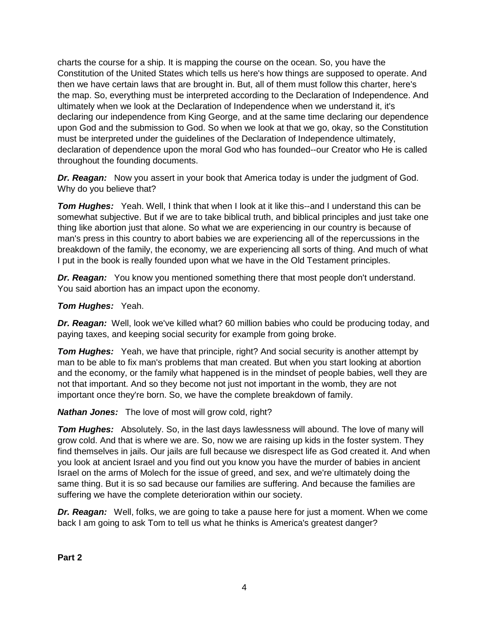charts the course for a ship. It is mapping the course on the ocean. So, you have the Constitution of the United States which tells us here's how things are supposed to operate. And then we have certain laws that are brought in. But, all of them must follow this charter, here's the map. So, everything must be interpreted according to the Declaration of Independence. And ultimately when we look at the Declaration of Independence when we understand it, it's declaring our independence from King George, and at the same time declaring our dependence upon God and the submission to God. So when we look at that we go, okay, so the Constitution must be interpreted under the guidelines of the Declaration of Independence ultimately, declaration of dependence upon the moral God who has founded--our Creator who He is called throughout the founding documents.

*Dr. Reagan:* Now you assert in your book that America today is under the judgment of God. Why do you believe that?

**Tom Hughes:** Yeah. Well, I think that when I look at it like this--and I understand this can be somewhat subjective. But if we are to take biblical truth, and biblical principles and just take one thing like abortion just that alone. So what we are experiencing in our country is because of man's press in this country to abort babies we are experiencing all of the repercussions in the breakdown of the family, the economy, we are experiencing all sorts of thing. And much of what I put in the book is really founded upon what we have in the Old Testament principles.

*Dr. Reagan:* You know you mentioned something there that most people don't understand. You said abortion has an impact upon the economy.

## *Tom Hughes:* Yeah.

*Dr. Reagan:* Well, look we've killed what? 60 million babies who could be producing today, and paying taxes, and keeping social security for example from going broke.

**Tom Hughes:** Yeah, we have that principle, right? And social security is another attempt by man to be able to fix man's problems that man created. But when you start looking at abortion and the economy, or the family what happened is in the mindset of people babies, well they are not that important. And so they become not just not important in the womb, they are not important once they're born. So, we have the complete breakdown of family.

*Nathan Jones:* The love of most will grow cold, right?

*Tom Hughes:* Absolutely. So, in the last days lawlessness will abound. The love of many will grow cold. And that is where we are. So, now we are raising up kids in the foster system. They find themselves in jails. Our jails are full because we disrespect life as God created it. And when you look at ancient Israel and you find out you know you have the murder of babies in ancient Israel on the arms of Molech for the issue of greed, and sex, and we're ultimately doing the same thing. But it is so sad because our families are suffering. And because the families are suffering we have the complete deterioration within our society.

*Dr. Reagan:* Well, folks, we are going to take a pause here for just a moment. When we come back I am going to ask Tom to tell us what he thinks is America's greatest danger?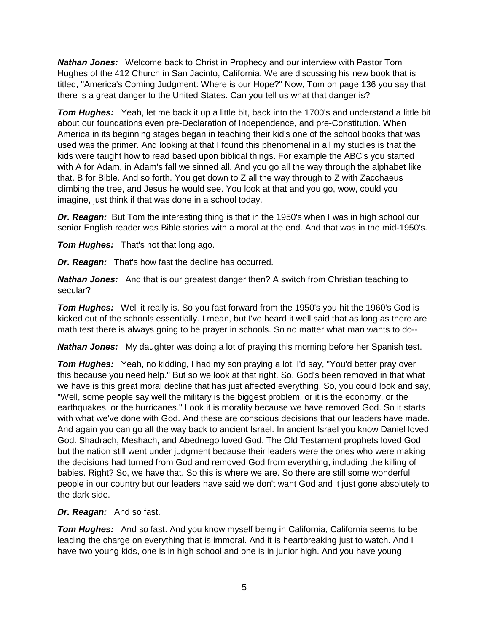*Nathan Jones:* Welcome back to Christ in Prophecy and our interview with Pastor Tom Hughes of the 412 Church in San Jacinto, California. We are discussing his new book that is titled, "America's Coming Judgment: Where is our Hope?" Now, Tom on page 136 you say that there is a great danger to the United States. Can you tell us what that danger is?

*Tom Hughes:* Yeah, let me back it up a little bit, back into the 1700's and understand a little bit about our foundations even pre-Declaration of Independence, and pre-Constitution. When America in its beginning stages began in teaching their kid's one of the school books that was used was the primer. And looking at that I found this phenomenal in all my studies is that the kids were taught how to read based upon biblical things. For example the ABC's you started with A for Adam, in Adam's fall we sinned all. And you go all the way through the alphabet like that. B for Bible. And so forth. You get down to Z all the way through to Z with Zacchaeus climbing the tree, and Jesus he would see. You look at that and you go, wow, could you imagine, just think if that was done in a school today.

*Dr. Reagan:* But Tom the interesting thing is that in the 1950's when I was in high school our senior English reader was Bible stories with a moral at the end. And that was in the mid-1950's.

*Tom Hughes:* That's not that long ago.

*Dr. Reagan:* That's how fast the decline has occurred.

*Nathan Jones:* And that is our greatest danger then? A switch from Christian teaching to secular?

*Tom Hughes:* Well it really is. So you fast forward from the 1950's you hit the 1960's God is kicked out of the schools essentially. I mean, but I've heard it well said that as long as there are math test there is always going to be prayer in schools. So no matter what man wants to do--

*Nathan Jones:* My daughter was doing a lot of praying this morning before her Spanish test.

*Tom Hughes:* Yeah, no kidding, I had my son praying a lot. I'd say, "You'd better pray over this because you need help." But so we look at that right. So, God's been removed in that what we have is this great moral decline that has just affected everything. So, you could look and say, "Well, some people say well the military is the biggest problem, or it is the economy, or the earthquakes, or the hurricanes." Look it is morality because we have removed God. So it starts with what we've done with God. And these are conscious decisions that our leaders have made. And again you can go all the way back to ancient Israel. In ancient Israel you know Daniel loved God. Shadrach, Meshach, and Abednego loved God. The Old Testament prophets loved God but the nation still went under judgment because their leaders were the ones who were making the decisions had turned from God and removed God from everything, including the killing of babies. Right? So, we have that. So this is where we are. So there are still some wonderful people in our country but our leaders have said we don't want God and it just gone absolutely to the dark side.

## *Dr. Reagan:* And so fast.

*Tom Hughes:* And so fast. And you know myself being in California, California seems to be leading the charge on everything that is immoral. And it is heartbreaking just to watch. And I have two young kids, one is in high school and one is in junior high. And you have young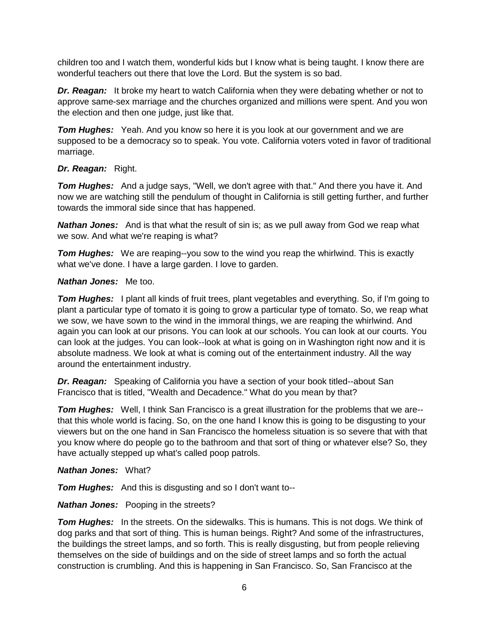children too and I watch them, wonderful kids but I know what is being taught. I know there are wonderful teachers out there that love the Lord. But the system is so bad.

*Dr. Reagan:* It broke my heart to watch California when they were debating whether or not to approve same-sex marriage and the churches organized and millions were spent. And you won the election and then one judge, just like that.

*Tom Hughes:* Yeah. And you know so here it is you look at our government and we are supposed to be a democracy so to speak. You vote. California voters voted in favor of traditional marriage.

#### *Dr. Reagan:* Right.

*Tom Hughes:* And a judge says, "Well, we don't agree with that." And there you have it. And now we are watching still the pendulum of thought in California is still getting further, and further towards the immoral side since that has happened.

*Nathan Jones:* And is that what the result of sin is; as we pull away from God we reap what we sow. And what we're reaping is what?

**Tom Hughes:** We are reaping--you sow to the wind you reap the whirlwind. This is exactly what we've done. I have a large garden. I love to garden.

#### *Nathan Jones:* Me too.

*Tom Hughes:* I plant all kinds of fruit trees, plant vegetables and everything. So, if I'm going to plant a particular type of tomato it is going to grow a particular type of tomato. So, we reap what we sow, we have sown to the wind in the immoral things, we are reaping the whirlwind. And again you can look at our prisons. You can look at our schools. You can look at our courts. You can look at the judges. You can look--look at what is going on in Washington right now and it is absolute madness. We look at what is coming out of the entertainment industry. All the way around the entertainment industry.

*Dr. Reagan:* Speaking of California you have a section of your book titled--about San Francisco that is titled, "Wealth and Decadence." What do you mean by that?

*Tom Hughes:* Well, I think San Francisco is a great illustration for the problems that we are- that this whole world is facing. So, on the one hand I know this is going to be disgusting to your viewers but on the one hand in San Francisco the homeless situation is so severe that with that you know where do people go to the bathroom and that sort of thing or whatever else? So, they have actually stepped up what's called poop patrols.

#### *Nathan Jones:* What?

*Tom Hughes:* And this is disgusting and so I don't want to--

## *Nathan Jones:* Pooping in the streets?

*Tom Hughes:* In the streets. On the sidewalks. This is humans. This is not dogs. We think of dog parks and that sort of thing. This is human beings. Right? And some of the infrastructures, the buildings the street lamps, and so forth. This is really disgusting, but from people relieving themselves on the side of buildings and on the side of street lamps and so forth the actual construction is crumbling. And this is happening in San Francisco. So, San Francisco at the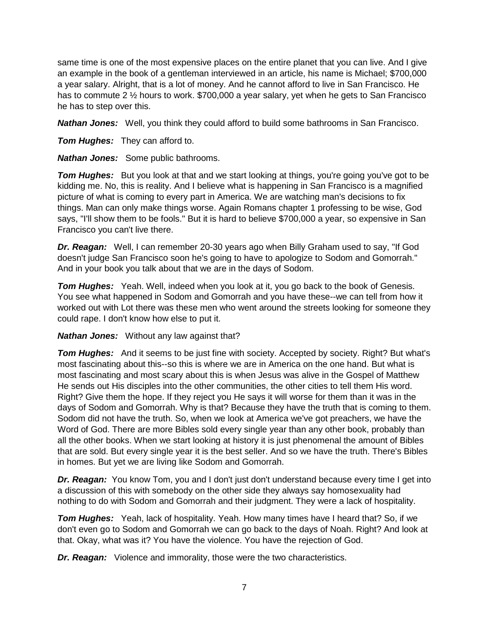same time is one of the most expensive places on the entire planet that you can live. And I give an example in the book of a gentleman interviewed in an article, his name is Michael; \$700,000 a year salary. Alright, that is a lot of money. And he cannot afford to live in San Francisco. He has to commute 2 ½ hours to work. \$700,000 a year salary, yet when he gets to San Francisco he has to step over this.

*Nathan Jones:* Well, you think they could afford to build some bathrooms in San Francisco.

*Tom Hughes:* They can afford to.

*Nathan Jones:* Some public bathrooms.

**Tom Hughes:** But you look at that and we start looking at things, you're going you've got to be kidding me. No, this is reality. And I believe what is happening in San Francisco is a magnified picture of what is coming to every part in America. We are watching man's decisions to fix things. Man can only make things worse. Again Romans chapter 1 professing to be wise, God says, "I'll show them to be fools." But it is hard to believe \$700,000 a year, so expensive in San Francisco you can't live there.

*Dr. Reagan:* Well, I can remember 20-30 years ago when Billy Graham used to say, "If God doesn't judge San Francisco soon he's going to have to apologize to Sodom and Gomorrah." And in your book you talk about that we are in the days of Sodom.

*Tom Hughes:* Yeah. Well, indeed when you look at it, you go back to the book of Genesis. You see what happened in Sodom and Gomorrah and you have these--we can tell from how it worked out with Lot there was these men who went around the streets looking for someone they could rape. I don't know how else to put it.

*Nathan Jones:* Without any law against that?

**Tom Hughes:** And it seems to be just fine with society. Accepted by society. Right? But what's most fascinating about this--so this is where we are in America on the one hand. But what is most fascinating and most scary about this is when Jesus was alive in the Gospel of Matthew He sends out His disciples into the other communities, the other cities to tell them His word. Right? Give them the hope. If they reject you He says it will worse for them than it was in the days of Sodom and Gomorrah. Why is that? Because they have the truth that is coming to them. Sodom did not have the truth. So, when we look at America we've got preachers, we have the Word of God. There are more Bibles sold every single year than any other book, probably than all the other books. When we start looking at history it is just phenomenal the amount of Bibles that are sold. But every single year it is the best seller. And so we have the truth. There's Bibles in homes. But yet we are living like Sodom and Gomorrah.

*Dr. Reagan:* You know Tom, you and I don't just don't understand because every time I get into a discussion of this with somebody on the other side they always say homosexuality had nothing to do with Sodom and Gomorrah and their judgment. They were a lack of hospitality.

*Tom Hughes:* Yeah, lack of hospitality. Yeah. How many times have I heard that? So, if we don't even go to Sodom and Gomorrah we can go back to the days of Noah. Right? And look at that. Okay, what was it? You have the violence. You have the rejection of God.

*Dr. Reagan:* Violence and immorality, those were the two characteristics.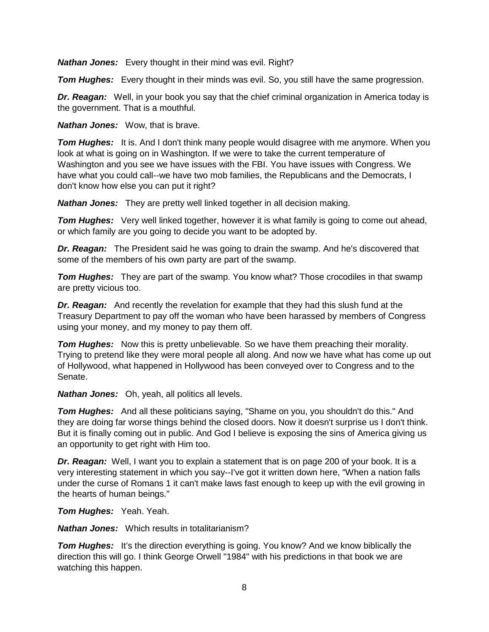*Nathan Jones:* Every thought in their mind was evil. Right?

*Tom Hughes:* Every thought in their minds was evil. So, you still have the same progression.

*Dr. Reagan:* Well, in your book you say that the chief criminal organization in America today is the government. That is a mouthful.

*Nathan Jones:* Wow, that is brave.

**Tom Hughes:** It is. And I don't think many people would disagree with me anymore. When you look at what is going on in Washington. If we were to take the current temperature of Washington and you see we have issues with the FBI. You have issues with Congress. We have what you could call--we have two mob families, the Republicans and the Democrats, I don't know how else you can put it right?

*Nathan Jones:* They are pretty well linked together in all decision making.

**Tom Hughes:** Very well linked together, however it is what family is going to come out ahead, or which family are you going to decide you want to be adopted by.

*Dr. Reagan:* The President said he was going to drain the swamp. And he's discovered that some of the members of his own party are part of the swamp.

**Tom Hughes:** They are part of the swamp. You know what? Those crocodiles in that swamp are pretty vicious too.

*Dr. Reagan:* And recently the revelation for example that they had this slush fund at the Treasury Department to pay off the woman who have been harassed by members of Congress using your money, and my money to pay them off.

*Tom Hughes:* Now this is pretty unbelievable. So we have them preaching their morality. Trying to pretend like they were moral people all along. And now we have what has come up out of Hollywood, what happened in Hollywood has been conveyed over to Congress and to the Senate.

*Nathan Jones:* Oh, yeah, all politics all levels.

*Tom Hughes:* And all these politicians saying, "Shame on you, you shouldn't do this." And they are doing far worse things behind the closed doors. Now it doesn't surprise us I don't think. But it is finally coming out in public. And God I believe is exposing the sins of America giving us an opportunity to get right with Him too.

*Dr. Reagan:* Well, I want you to explain a statement that is on page 200 of your book. It is a very interesting statement in which you say--I've got it written down here, "When a nation falls under the curse of Romans 1 it can't make laws fast enough to keep up with the evil growing in the hearts of human beings."

*Tom Hughes:* Yeah. Yeah.

*Nathan Jones:* Which results in totalitarianism?

**Tom Hughes:** It's the direction everything is going. You know? And we know biblically the direction this will go. I think George Orwell "1984" with his predictions in that book we are watching this happen.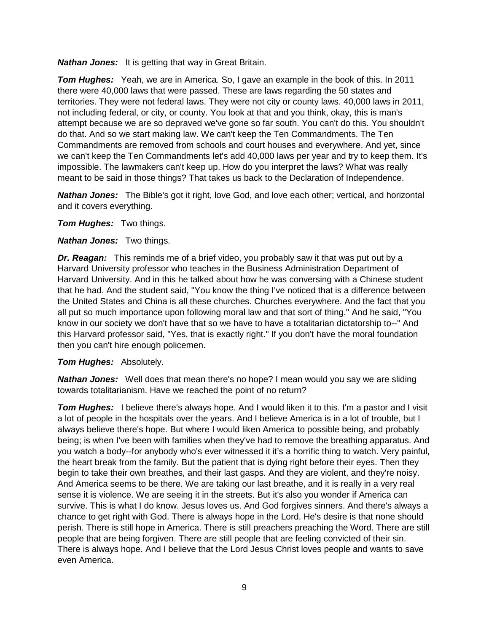*Nathan Jones:* It is getting that way in Great Britain.

*Tom Hughes:* Yeah, we are in America. So, I gave an example in the book of this. In 2011 there were 40,000 laws that were passed. These are laws regarding the 50 states and territories. They were not federal laws. They were not city or county laws. 40,000 laws in 2011, not including federal, or city, or county. You look at that and you think, okay, this is man's attempt because we are so depraved we've gone so far south. You can't do this. You shouldn't do that. And so we start making law. We can't keep the Ten Commandments. The Ten Commandments are removed from schools and court houses and everywhere. And yet, since we can't keep the Ten Commandments let's add 40,000 laws per year and try to keep them. It's impossible. The lawmakers can't keep up. How do you interpret the laws? What was really meant to be said in those things? That takes us back to the Declaration of Independence.

*Nathan Jones:* The Bible's got it right, love God, and love each other; vertical, and horizontal and it covers everything.

*Tom Hughes:* Two things.

#### *Nathan Jones:* Two things.

*Dr. Reagan:* This reminds me of a brief video, you probably saw it that was put out by a Harvard University professor who teaches in the Business Administration Department of Harvard University. And in this he talked about how he was conversing with a Chinese student that he had. And the student said, "You know the thing I've noticed that is a difference between the United States and China is all these churches. Churches everywhere. And the fact that you all put so much importance upon following moral law and that sort of thing." And he said, "You know in our society we don't have that so we have to have a totalitarian dictatorship to--" And this Harvard professor said, "Yes, that is exactly right." If you don't have the moral foundation then you can't hire enough policemen.

## *Tom Hughes:* Absolutely.

*Nathan Jones:* Well does that mean there's no hope? I mean would you say we are sliding towards totalitarianism. Have we reached the point of no return?

**Tom Hughes:** I believe there's always hope. And I would liken it to this. I'm a pastor and I visit a lot of people in the hospitals over the years. And I believe America is in a lot of trouble, but I always believe there's hope. But where I would liken America to possible being, and probably being; is when I've been with families when they've had to remove the breathing apparatus. And you watch a body--for anybody who's ever witnessed it it's a horrific thing to watch. Very painful, the heart break from the family. But the patient that is dying right before their eyes. Then they begin to take their own breathes, and their last gasps. And they are violent, and they're noisy. And America seems to be there. We are taking our last breathe, and it is really in a very real sense it is violence. We are seeing it in the streets. But it's also you wonder if America can survive. This is what I do know. Jesus loves us. And God forgives sinners. And there's always a chance to get right with God. There is always hope in the Lord. He's desire is that none should perish. There is still hope in America. There is still preachers preaching the Word. There are still people that are being forgiven. There are still people that are feeling convicted of their sin. There is always hope. And I believe that the Lord Jesus Christ loves people and wants to save even America.